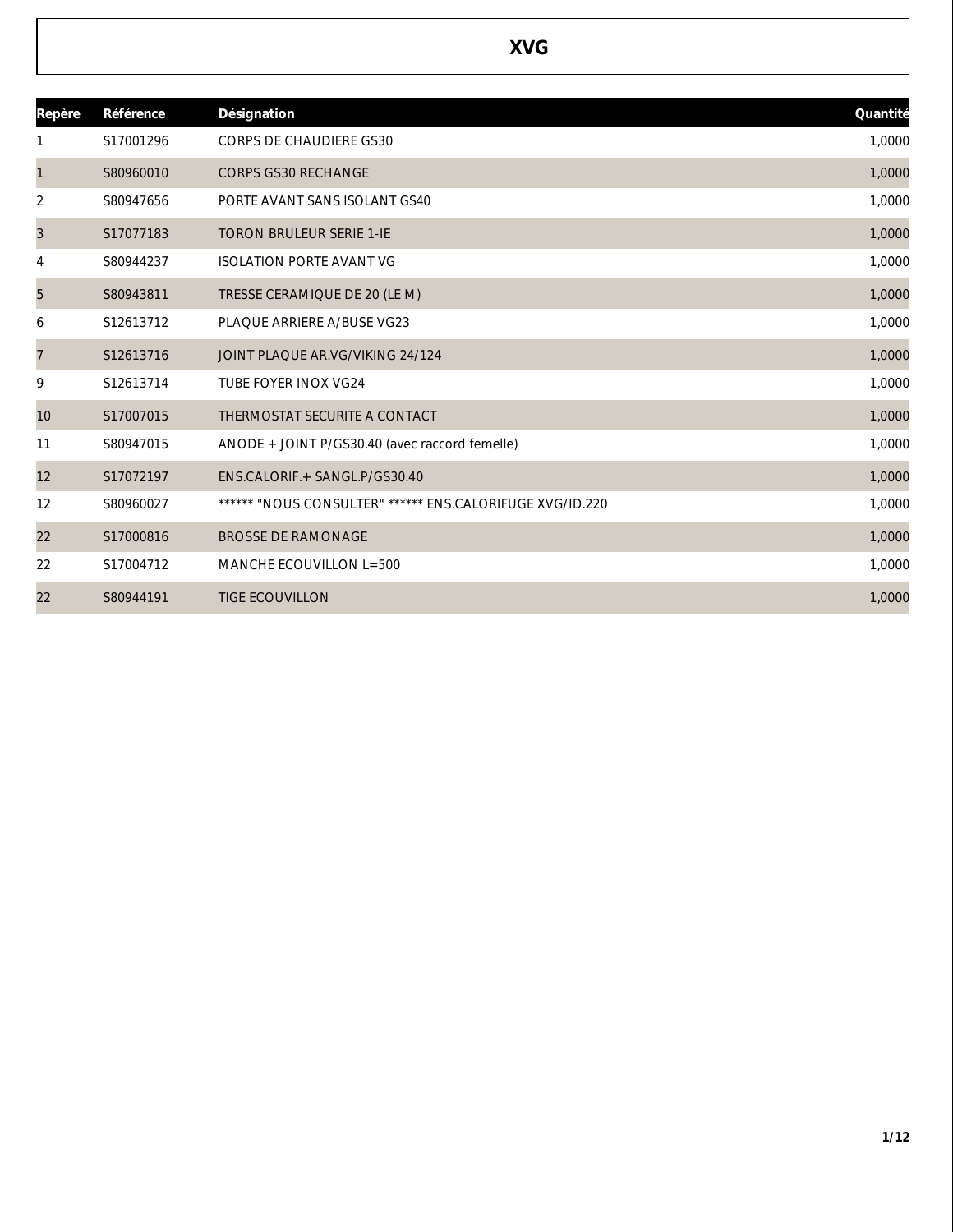| Repère         | Référence | Désignation                                              | Quantité |
|----------------|-----------|----------------------------------------------------------|----------|
|                | S17001296 | <b>CORPS DE CHAUDIERE GS30</b>                           | 1,0000   |
| $\mathbf{1}$   | S80960010 | <b>CORPS GS30 RECHANGE</b>                               | 1,0000   |
| 2              | S80947656 | PORTE AVANT SANS ISOLANT GS40                            | 1,0000   |
| 3              | S17077183 | <b>TORON BRULEUR SERIE 1-IE</b>                          | 1,0000   |
| 4              | S80944237 | <b>ISOLATION PORTE AVANT VG</b>                          | 1,0000   |
| 5              | S80943811 | TRESSE CERAMIQUE DE 20 (LE M)                            | 1,0000   |
| 6              | S12613712 | PLAQUE ARRIERE A/BUSE VG23                               | 1,0000   |
| $\overline{7}$ | S12613716 | JOINT PLAQUE AR.VG/VIKING 24/124                         | 1,0000   |
| 9              | S12613714 | TUBE FOYER INOX VG24                                     | 1,0000   |
| 10             | S17007015 | THERMOSTAT SECURITE A CONTACT                            | 1,0000   |
| 11             | S80947015 | ANODE + JOINT P/GS30.40 (avec raccord femelle)           | 1,0000   |
| 12             | S17072197 | ENS.CALORIF.+ SANGL.P/GS30.40                            | 1,0000   |
| 12             | S80960027 | ****** "NOUS CONSULTER" ****** ENS.CALORIFUGE XVG/ID.220 | 1,0000   |
| 22             | S17000816 | <b>BROSSE DE RAMONAGE</b>                                | 1,0000   |
| 22             | S17004712 | MANCHE ECOUVILLON L=500                                  | 1,0000   |
| 22             | S80944191 | <b>TIGE ECOUVILLON</b>                                   | 1,0000   |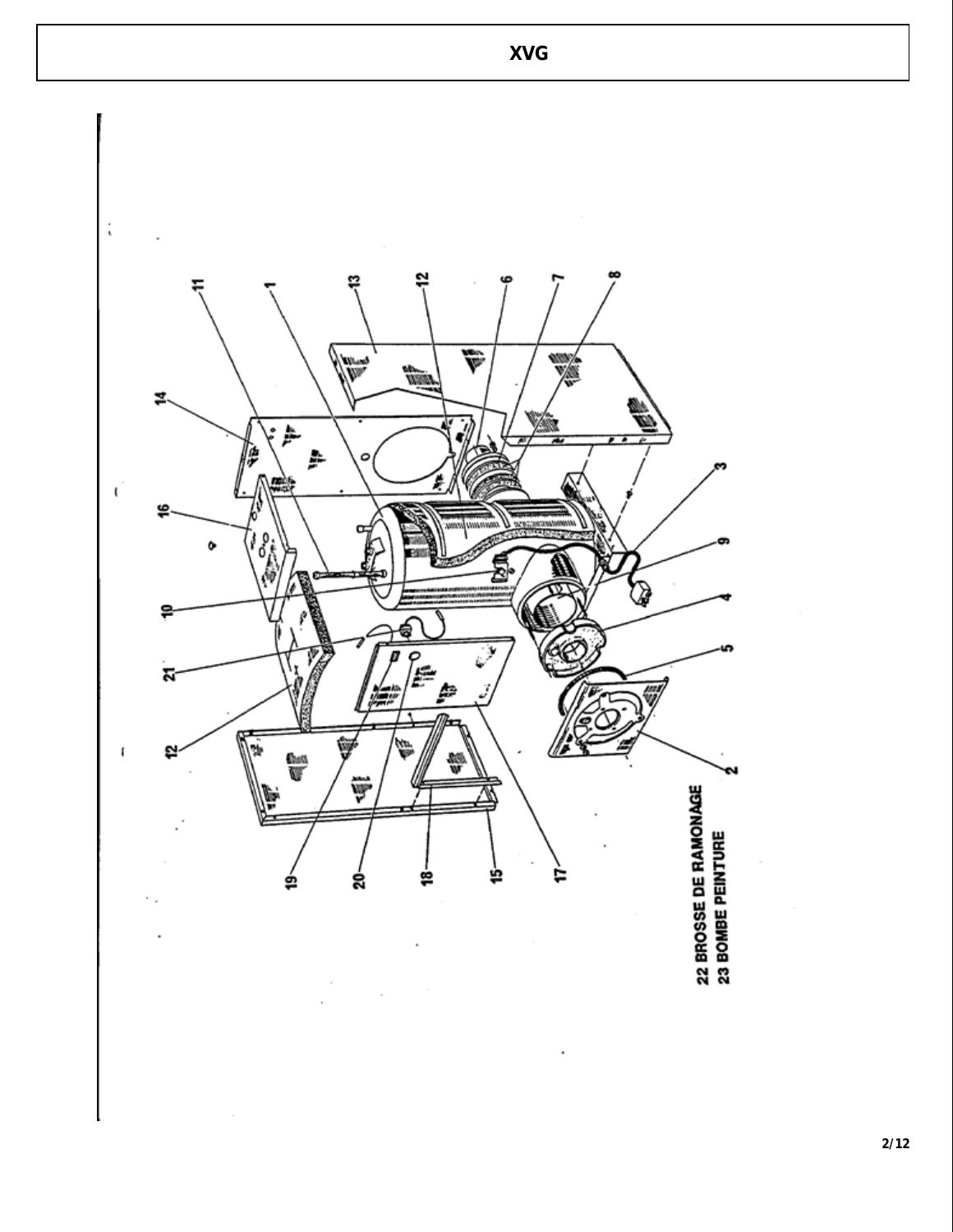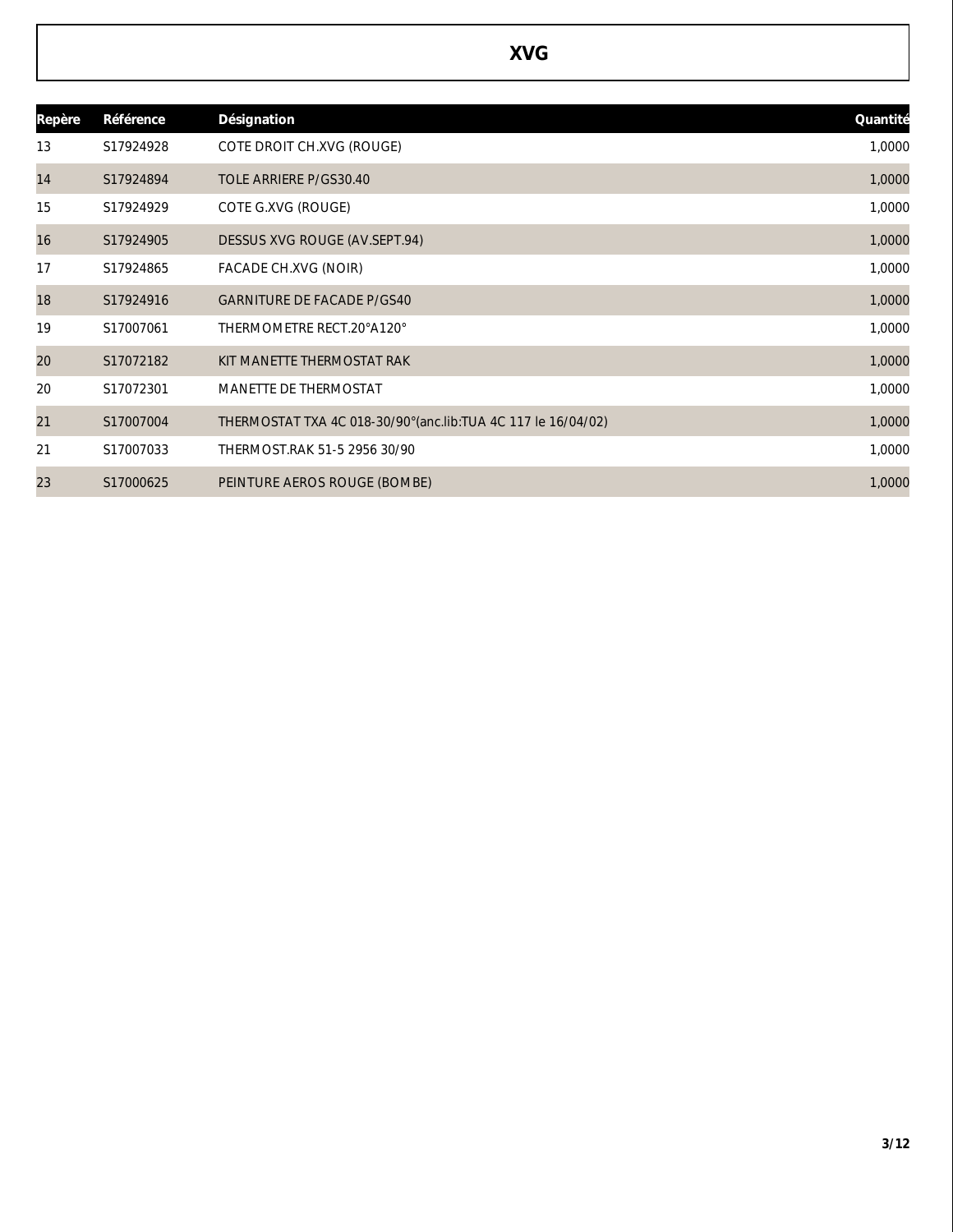| Repère | Référence | Désignation                                                    | Quantité |
|--------|-----------|----------------------------------------------------------------|----------|
| 13     | S17924928 | COTE DROIT CH.XVG (ROUGE)                                      | 1,0000   |
| 14     | S17924894 | TOLE ARRIERE P/GS30.40                                         | 1,0000   |
| 15     | S17924929 | COTE G.XVG (ROUGE)                                             | 1,0000   |
| 16     | S17924905 | DESSUS XVG ROUGE (AV.SEPT.94)                                  | 1,0000   |
| 17     | S17924865 | FACADE CH.XVG (NOIR)                                           | 1,0000   |
| 18     | S17924916 | <b>GARNITURE DE FACADE P/GS40</b>                              | 1,0000   |
| 19     | S17007061 | THERMOMETRE RECT.20°A120°                                      | 1,0000   |
| 20     | S17072182 | KIT MANETTE THERMOSTAT RAK                                     | 1,0000   |
| 20     | S17072301 | MANETTE DE THERMOSTAT                                          | 1,0000   |
| 21     | S17007004 | THERMOSTAT TXA 4C 018-30/90° (anc.lib: TUA 4C 117 le 16/04/02) | 1,0000   |
| 21     | S17007033 | THERMOST.RAK 51-5 2956 30/90                                   | 1,0000   |
| 23     | S17000625 | PEINTURE AEROS ROUGE (BOMBE)                                   | 1,0000   |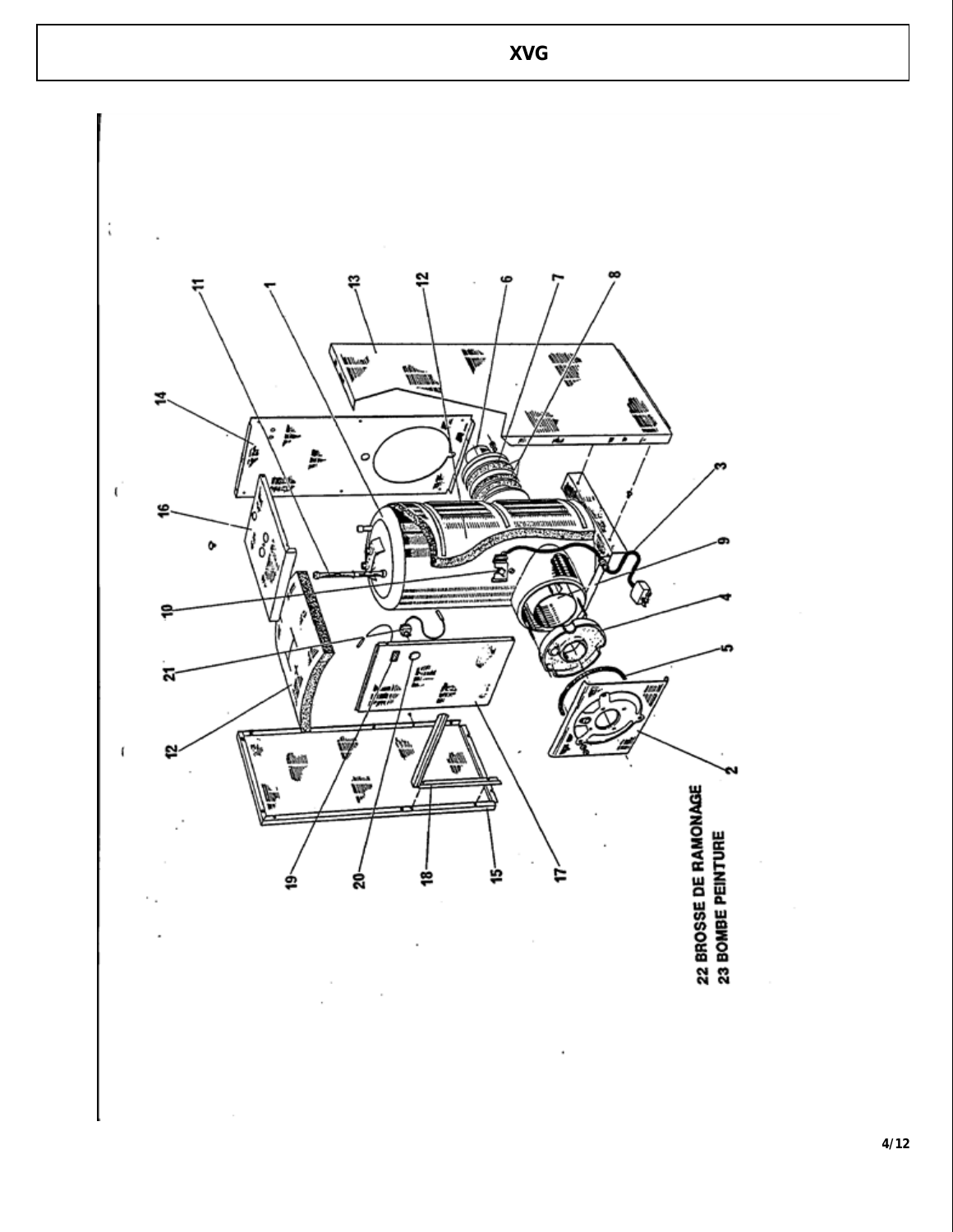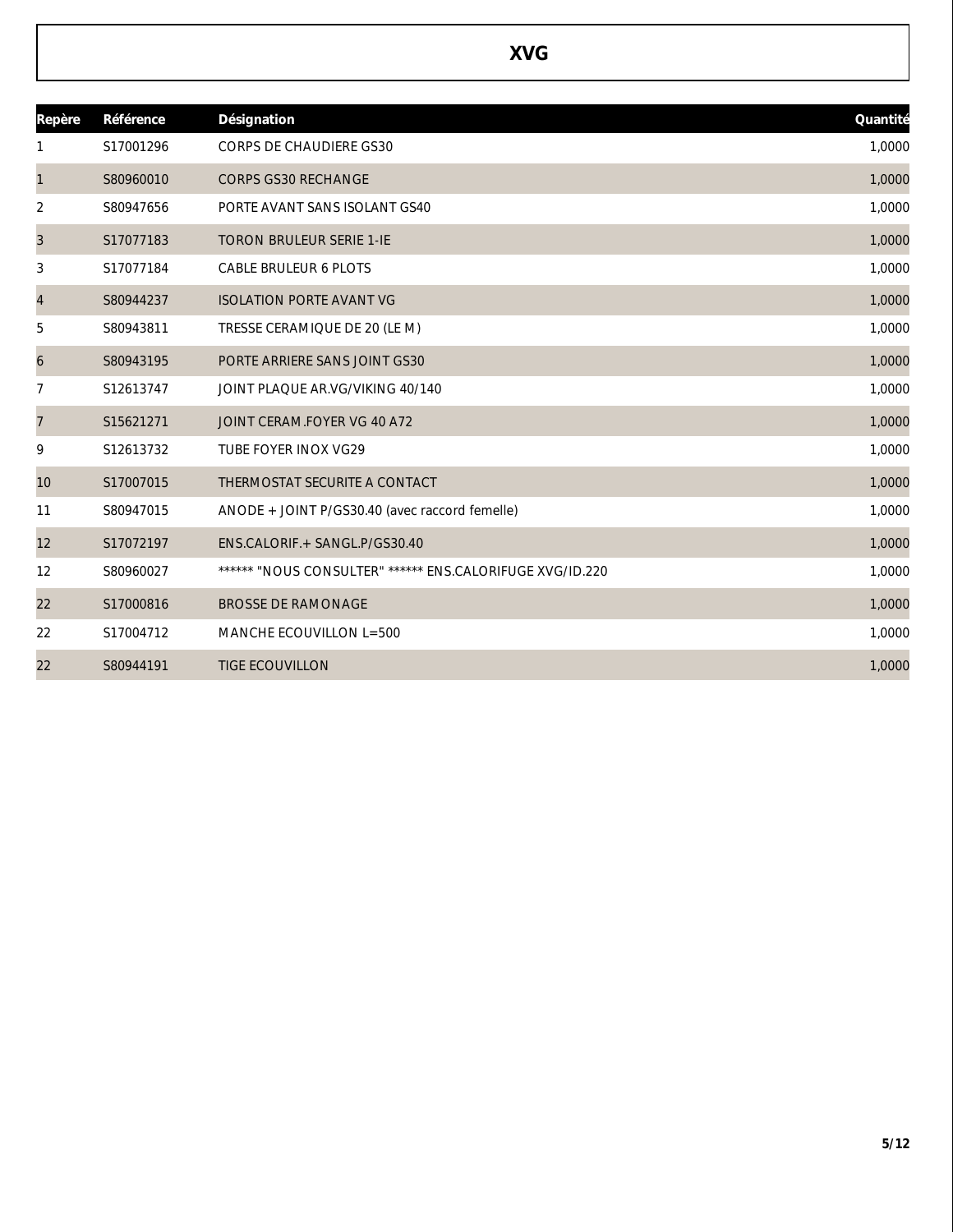| Repère         | Référence | Désignation                                              | Quantité |
|----------------|-----------|----------------------------------------------------------|----------|
| 1              | S17001296 | <b>CORPS DE CHAUDIERE GS30</b>                           | 1,0000   |
| $\mathbf{1}$   | S80960010 | <b>CORPS GS30 RECHANGE</b>                               | 1,0000   |
| 2              | S80947656 | PORTE AVANT SANS ISOLANT GS40                            | 1,0000   |
| 3              | S17077183 | <b>TORON BRULEUR SERIE 1-IE</b>                          | 1,0000   |
| 3              | S17077184 | <b>CABLE BRULEUR 6 PLOTS</b>                             | 1,0000   |
| $\overline{4}$ | S80944237 | <b>ISOLATION PORTE AVANT VG</b>                          | 1,0000   |
| 5              | S80943811 | TRESSE CERAMIQUE DE 20 (LE M)                            | 1,0000   |
| 6              | S80943195 | PORTE ARRIERE SANS JOINT GS30                            | 1,0000   |
| 7              | S12613747 | JOINT PLAQUE AR.VG/VIKING 40/140                         | 1,0000   |
| 7              | S15621271 | JOINT CERAM.FOYER VG 40 A72                              | 1,0000   |
| 9              | S12613732 | <b>TUBE FOYER INOX VG29</b>                              | 1,0000   |
| 10             | S17007015 | THERMOSTAT SECURITE A CONTACT                            | 1,0000   |
| 11             | S80947015 | ANODE + JOINT P/GS30.40 (avec raccord femelle)           | 1,0000   |
| 12             | S17072197 | ENS.CALORIF.+ SANGL.P/GS30.40                            | 1,0000   |
| 12             | S80960027 | ****** "NOUS CONSULTER" ****** ENS.CALORIFUGE XVG/ID.220 | 1,0000   |
| 22             | S17000816 | <b>BROSSE DE RAMONAGE</b>                                | 1,0000   |
| 22             | S17004712 | MANCHE ECOUVILLON L=500                                  | 1,0000   |
| 22             | S80944191 | <b>TIGE ECOUVILLON</b>                                   | 1,0000   |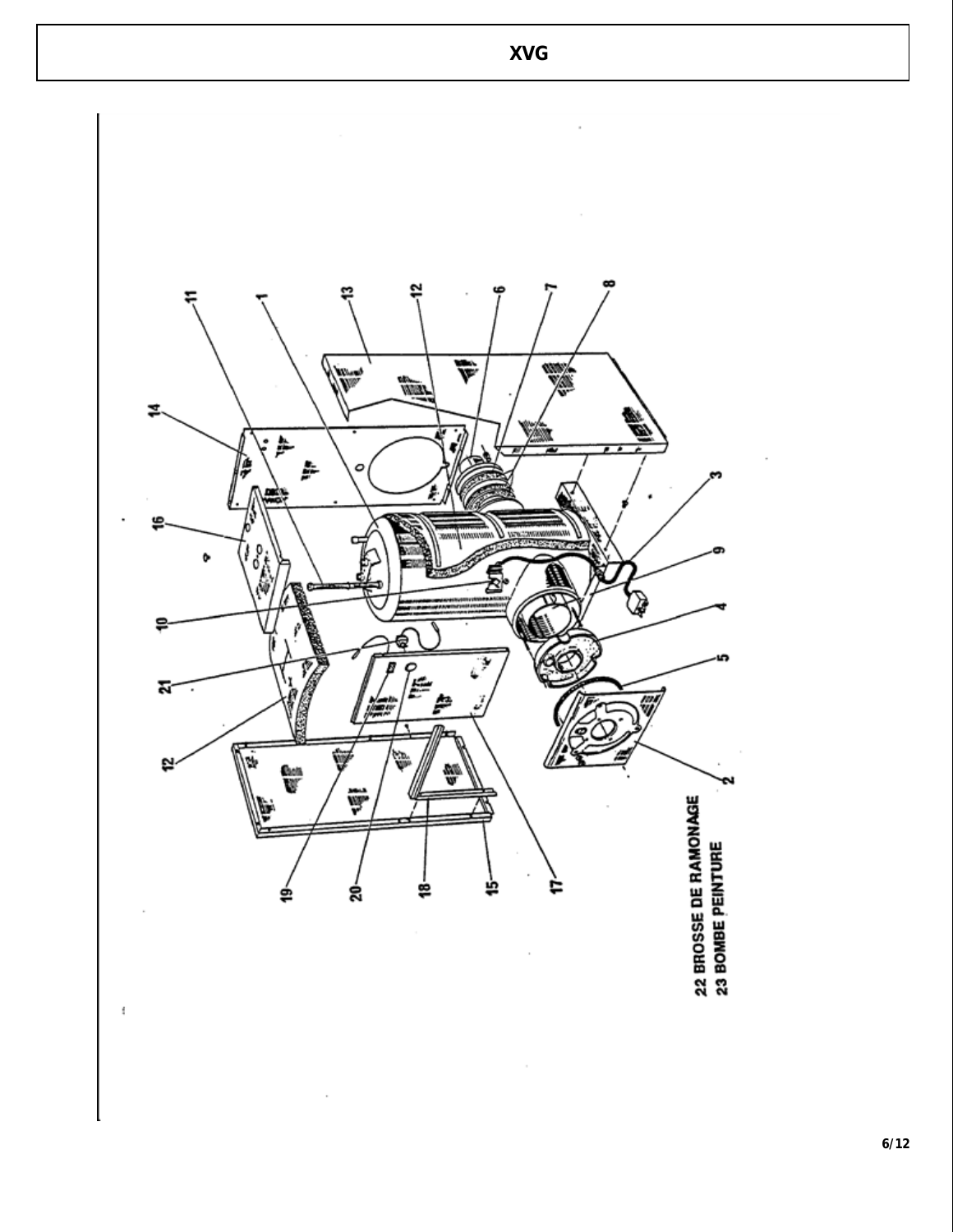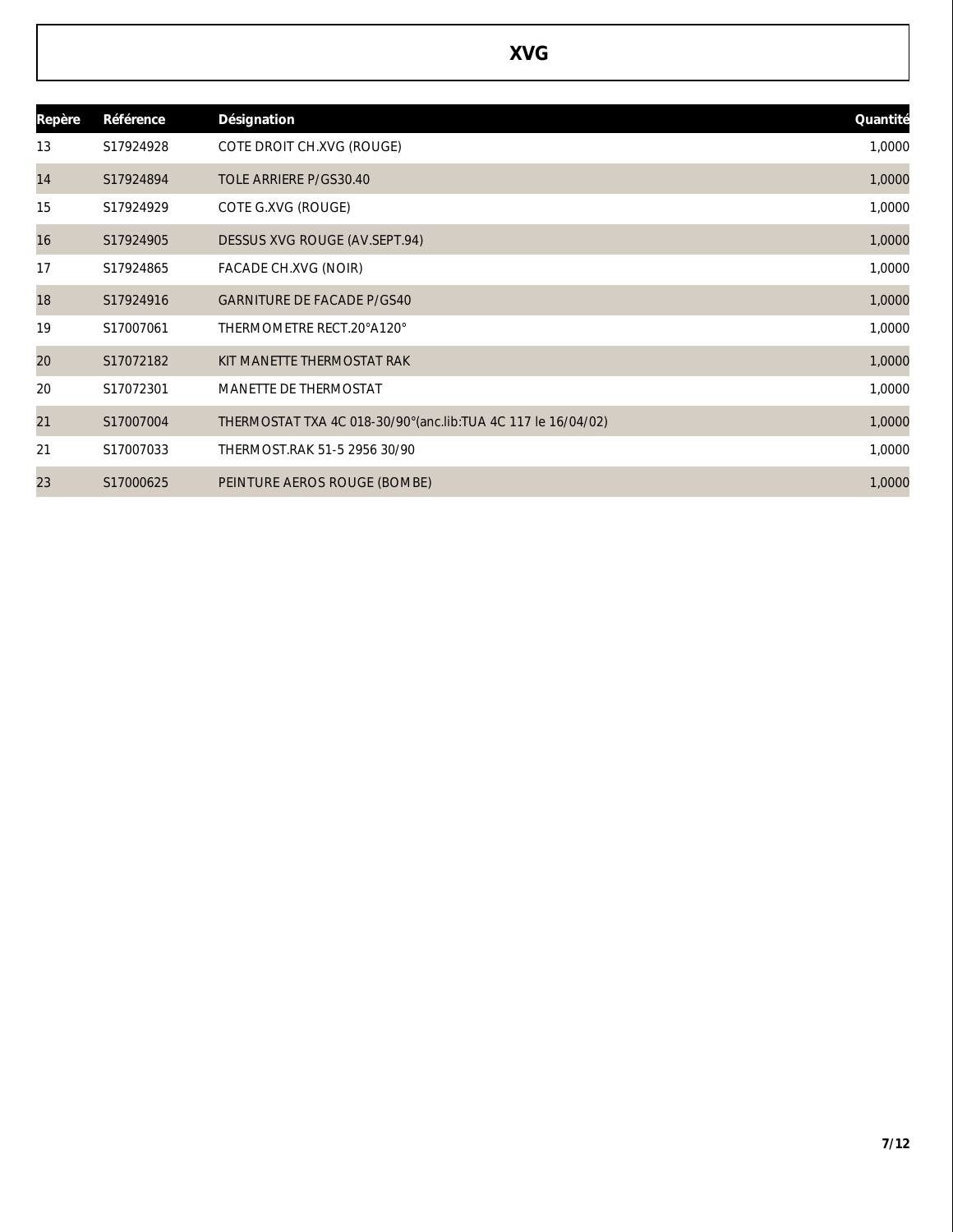| Repère | Référence | Désignation                                                    | Quantité |
|--------|-----------|----------------------------------------------------------------|----------|
| 13     | S17924928 | COTE DROIT CH.XVG (ROUGE)                                      | 1,0000   |
| 14     | S17924894 | TOLE ARRIERE P/GS30.40                                         | 1,0000   |
| 15     | S17924929 | COTE G.XVG (ROUGE)                                             | 1,0000   |
| 16     | S17924905 | DESSUS XVG ROUGE (AV.SEPT.94)                                  | 1,0000   |
| 17     | S17924865 | FACADE CH.XVG (NOIR)                                           | 1,0000   |
| 18     | S17924916 | <b>GARNITURE DE FACADE P/GS40</b>                              | 1,0000   |
| 19     | S17007061 | THERMOMETRE RECT.20°A120°                                      | 1,0000   |
| 20     | S17072182 | KIT MANETTE THERMOSTAT RAK                                     | 1,0000   |
| 20     | S17072301 | MANETTE DE THERMOSTAT                                          | 1,0000   |
| 21     | S17007004 | THERMOSTAT TXA 4C 018-30/90° (anc.lib: TUA 4C 117 le 16/04/02) | 1,0000   |
| 21     | S17007033 | THERMOST.RAK 51-5 2956 30/90                                   | 1,0000   |
| 23     | S17000625 | PEINTURE AEROS ROUGE (BOMBE)                                   | 1,0000   |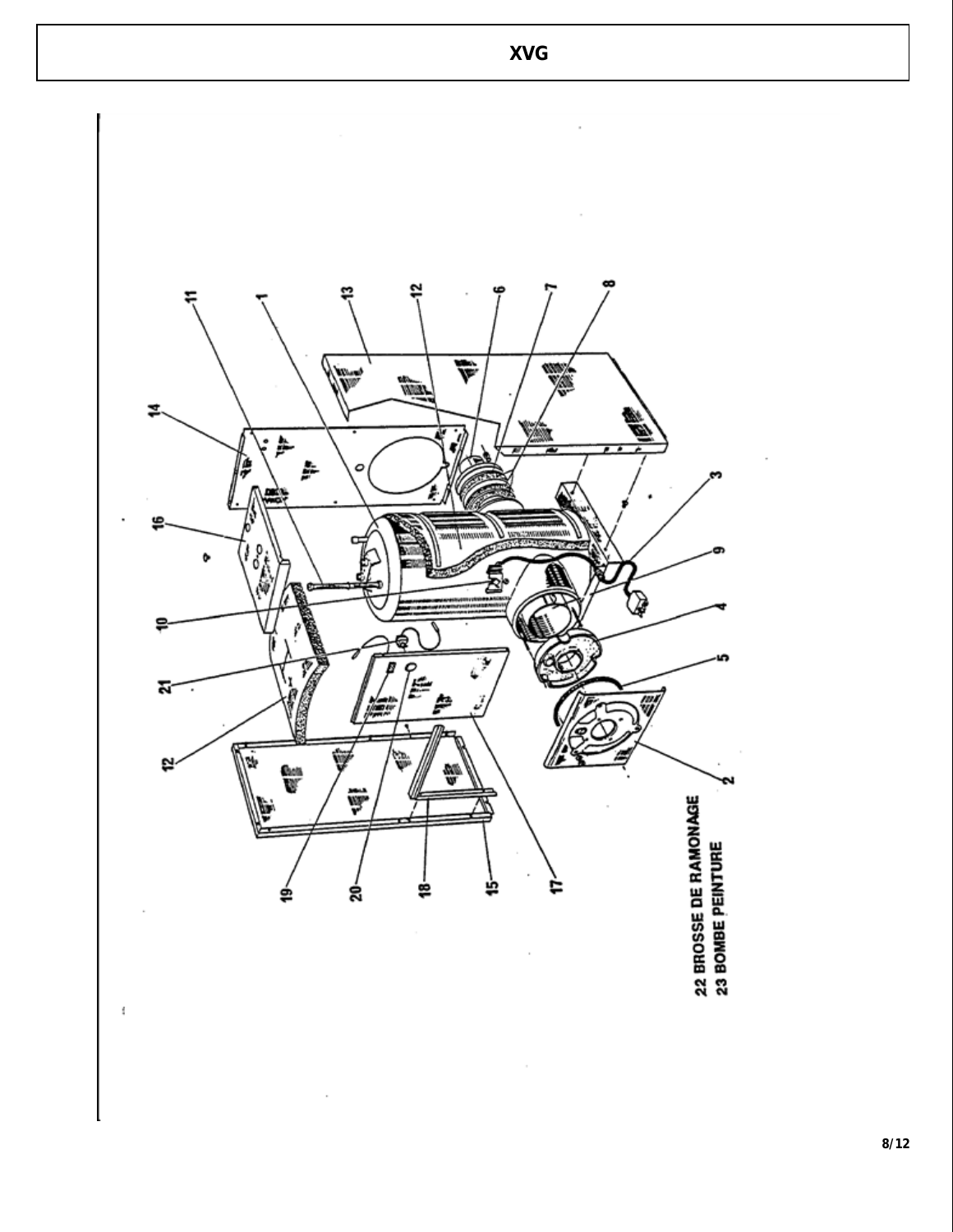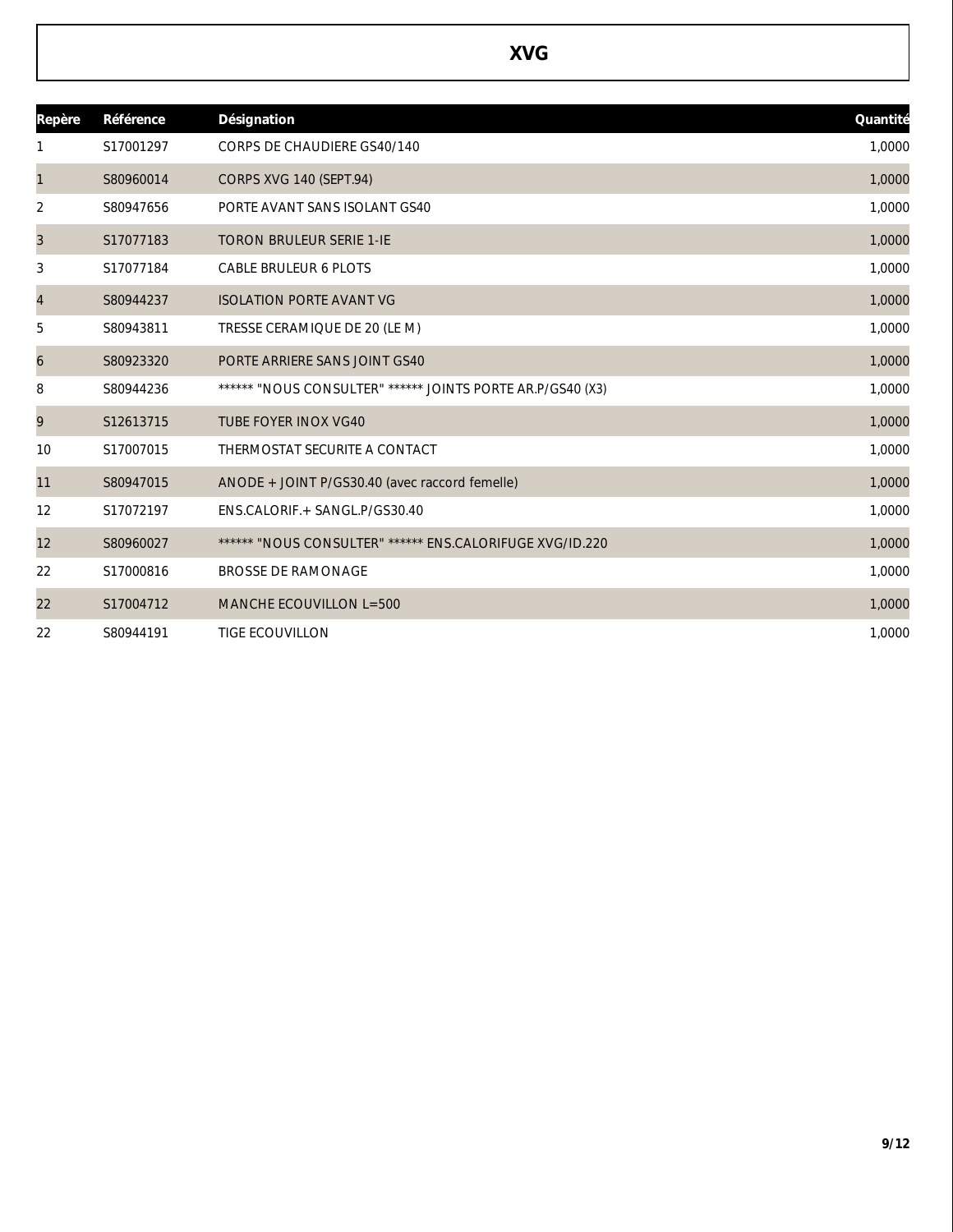| Repère         | Référence | Désignation                                                | Quantité |
|----------------|-----------|------------------------------------------------------------|----------|
|                | S17001297 | <b>CORPS DE CHAUDIERE GS40/140</b>                         | 1,0000   |
| $\mathbf{1}$   | S80960014 | CORPS XVG 140 (SEPT.94)                                    | 1,0000   |
| 2              | S80947656 | PORTE AVANT SANS ISOLANT GS40                              | 1,0000   |
| 3              | S17077183 | <b>TORON BRULEUR SERIE 1-IE</b>                            | 1,0000   |
| 3              | S17077184 | <b>CABLE BRULEUR 6 PLOTS</b>                               | 1,0000   |
| $\overline{4}$ | S80944237 | <b>ISOLATION PORTE AVANT VG</b>                            | 1,0000   |
| 5              | S80943811 | TRESSE CERAMIQUE DE 20 (LE M)                              | 1,0000   |
| 6              | S80923320 | PORTE ARRIERE SANS JOINT GS40                              | 1,0000   |
| 8              | S80944236 | ****** "NOUS CONSULTER" ****** JOINTS PORTE AR.P/GS40 (X3) | 1,0000   |
| 9              | S12613715 | <b>TUBE FOYER INOX VG40</b>                                | 1,0000   |
| 10             | S17007015 | THERMOSTAT SECURITE A CONTACT                              | 1,0000   |
| 11             | S80947015 | ANODE + JOINT P/GS30.40 (avec raccord femelle)             | 1,0000   |
| 12             | S17072197 | ENS.CALORIF.+ SANGL.P/GS30.40                              | 1,0000   |
| 12             | S80960027 | ****** "NOUS CONSULTER" ****** ENS.CALORIFUGE XVG/ID.220   | 1,0000   |
| 22             | S17000816 | <b>BROSSE DE RAMONAGE</b>                                  | 1,0000   |
| 22             | S17004712 | MANCHE ECOUVILLON L=500                                    | 1,0000   |
| 22             | S80944191 | <b>TIGE ECOUVILLON</b>                                     | 1,0000   |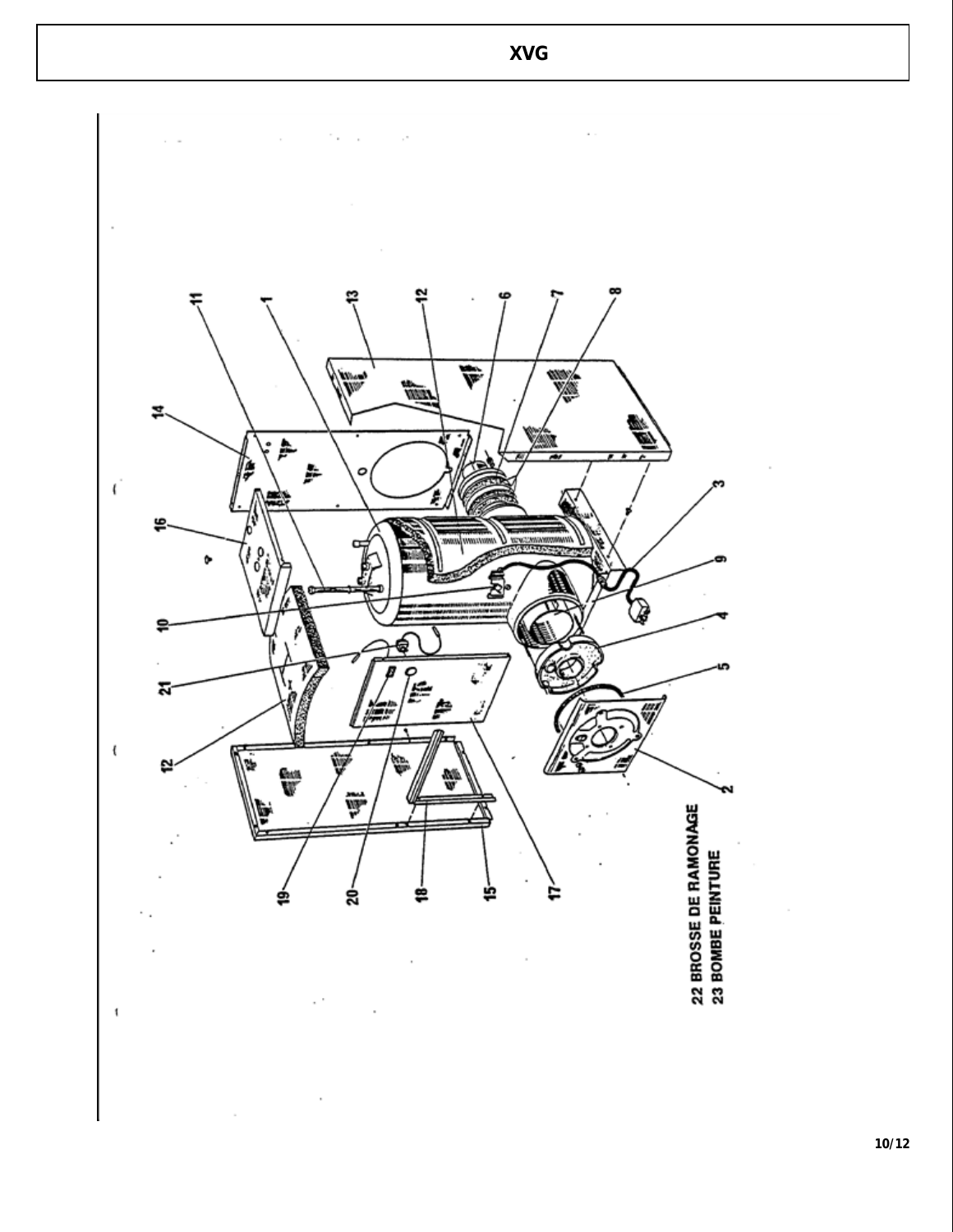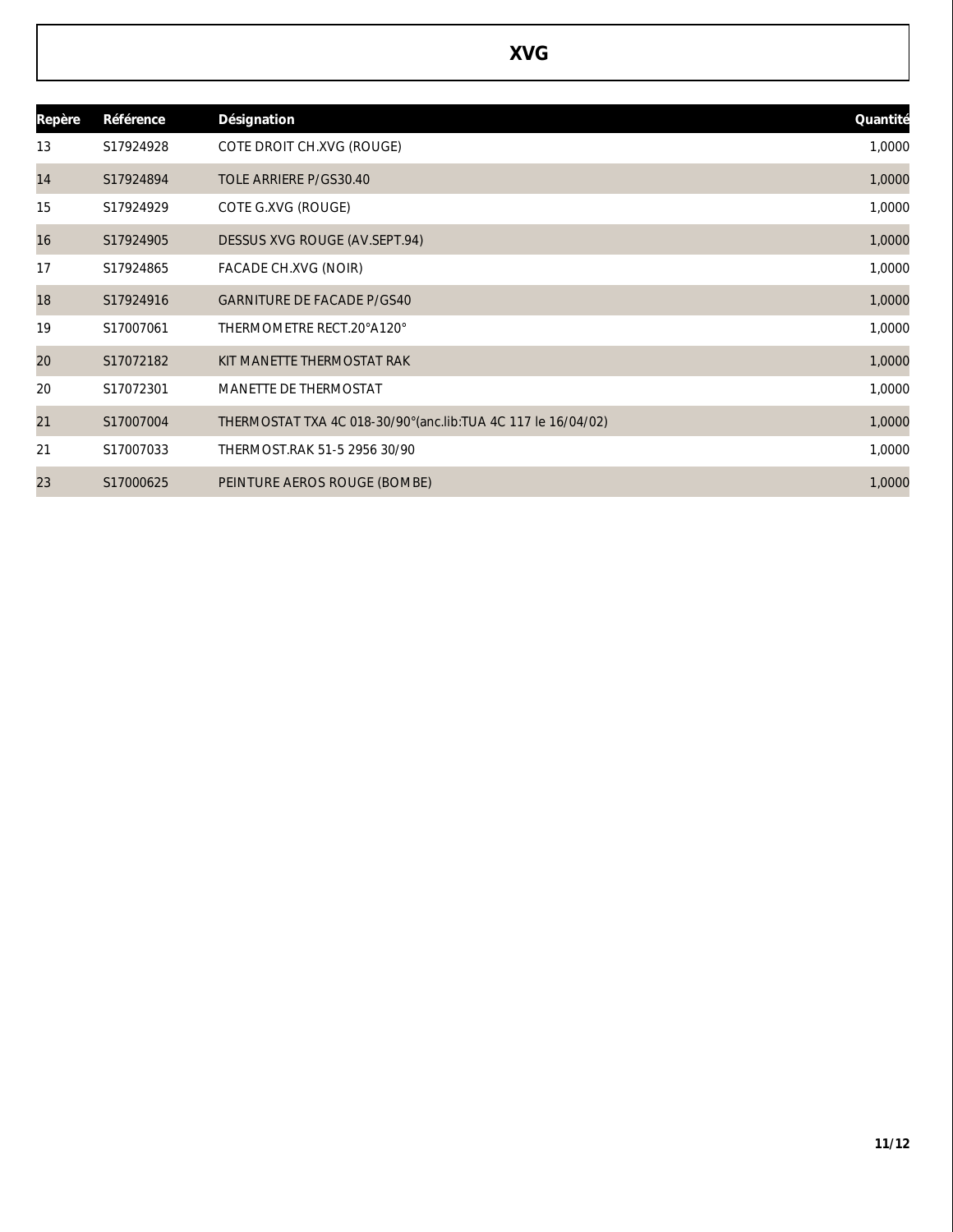| Repère | Référence | Désignation                                                    | Quantité |
|--------|-----------|----------------------------------------------------------------|----------|
| 13     | S17924928 | COTE DROIT CH.XVG (ROUGE)                                      | 1,0000   |
| 14     | S17924894 | TOLE ARRIERE P/GS30.40                                         | 1,0000   |
| 15     | S17924929 | COTE G.XVG (ROUGE)                                             | 1,0000   |
| 16     | S17924905 | DESSUS XVG ROUGE (AV.SEPT.94)                                  | 1,0000   |
| 17     | S17924865 | FACADE CH.XVG (NOIR)                                           | 1,0000   |
| 18     | S17924916 | <b>GARNITURE DE FACADE P/GS40</b>                              | 1,0000   |
| 19     | S17007061 | THERMOMETRE RECT.20°A120°                                      | 1,0000   |
| 20     | S17072182 | KIT MANETTE THERMOSTAT RAK                                     | 1,0000   |
| 20     | S17072301 | MANETTE DE THERMOSTAT                                          | 1,0000   |
| 21     | S17007004 | THERMOSTAT TXA 4C 018-30/90° (anc.lib: TUA 4C 117 le 16/04/02) | 1,0000   |
| 21     | S17007033 | THERMOST.RAK 51-5 2956 30/90                                   | 1,0000   |
| 23     | S17000625 | PEINTURE AEROS ROUGE (BOMBE)                                   | 1,0000   |